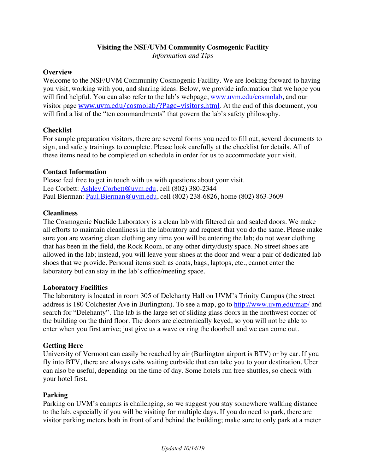#### **Visiting the NSF/UVM Community Cosmogenic Facility**

*Information and Tips*

#### **Overview**

Welcome to the NSF/UVM Community Cosmogenic Facility. We are looking forward to having you visit, working with you, and sharing ideas. Below, we provide information that we hope you will find helpful. You can also refer to the lab's webpage, www.uvm.edu/cosmolab, and our visitor page www.uvm.edu/cosmolab/?Page=visitors.html. At the end of this document, you will find a list of the "ten commandments" that govern the lab's safety philosophy.

#### **Checklist**

For sample preparation visitors, there are several forms you need to fill out, several documents to sign, and safety trainings to complete. Please look carefully at the checklist for details. All of these items need to be completed on schedule in order for us to accommodate your visit.

#### **Contact Information**

Please feel free to get in touch with us with questions about your visit. Lee Corbett: Ashley.Corbett@uvm.edu, cell (802) 380-2344 Paul Bierman: Paul.Bierman@uvm.edu, cell (802) 238-6826, home (802) 863-3609

#### **Cleanliness**

The Cosmogenic Nuclide Laboratory is a clean lab with filtered air and sealed doors. We make all efforts to maintain cleanliness in the laboratory and request that you do the same. Please make sure you are wearing clean clothing any time you will be entering the lab; do not wear clothing that has been in the field, the Rock Room, or any other dirty/dusty space. No street shoes are allowed in the lab; instead, you will leave your shoes at the door and wear a pair of dedicated lab shoes that we provide. Personal items such as coats, bags, laptops, etc., cannot enter the laboratory but can stay in the lab's office/meeting space.

#### **Laboratory Facilities**

The laboratory is located in room 305 of Delehanty Hall on UVM's Trinity Campus (the street address is 180 Colchester Ave in Burlington). To see a map, go to http://www.uvm.edu/map/ and search for "Delehanty". The lab is the large set of sliding glass doors in the northwest corner of the building on the third floor. The doors are electronically keyed, so you will not be able to enter when you first arrive; just give us a wave or ring the doorbell and we can come out.

#### **Getting Here**

University of Vermont can easily be reached by air (Burlington airport is BTV) or by car. If you fly into BTV, there are always cabs waiting curbside that can take you to your destination. Uber can also be useful, depending on the time of day. Some hotels run free shuttles, so check with your hotel first.

#### **Parking**

Parking on UVM's campus is challenging, so we suggest you stay somewhere walking distance to the lab, especially if you will be visiting for multiple days. If you do need to park, there are visitor parking meters both in front of and behind the building; make sure to only park at a meter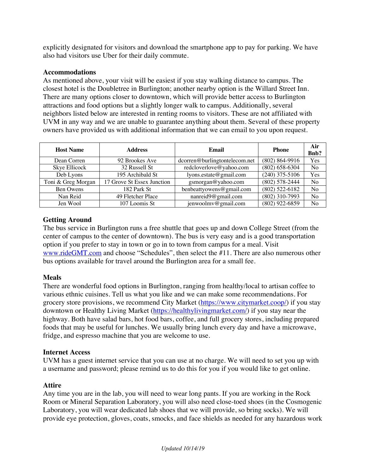explicitly designated for visitors and download the smartphone app to pay for parking. We have also had visitors use Uber for their daily commute.

#### **Accommodations**

As mentioned above, your visit will be easiest if you stay walking distance to campus. The closest hotel is the Doubletree in Burlington; another nearby option is the Willard Street Inn. There are many options closer to downtown, which will provide better access to Burlington attractions and food options but a slightly longer walk to campus. Additionally, several neighbors listed below are interested in renting rooms to visitors. These are not affiliated with UVM in any way and we are unable to guarantee anything about them. Several of these property owners have provided us with additional information that we can email to you upon request.

| <b>Host Name</b>   | <b>Address</b>             | Email                         | <b>Phone</b>       | Air<br><b>Bnb?</b> |
|--------------------|----------------------------|-------------------------------|--------------------|--------------------|
| Dean Corren        | 92 Brookes Ave             | dcorren@burlingtontelecom.net | (802) 864-9916     | Yes                |
| Skye Ellicock      | 32 Russell St              | redcloverlove@yahoo.com       | $(802) 658 - 6304$ | No                 |
| Deb Lyons          | 195 Archibald St           | lyons.estate@gmail.com        | $(240)$ 375-5106   | Yes                |
| Toni & Greg Morgan | 17 Grove St Essex Junction | gsmorgan@yahoo.com            | $(802) 578 - 2444$ | N <sub>o</sub>     |
| Ben Owens          | 182 Park St                | benbeattyowens@gmail.com      | $(802)$ 522-6182   | N <sub>o</sub>     |
| Nan Reid           | 49 Fletcher Place          | nanreid9@gmail.com            | $(802)$ 310-7993   | N <sub>o</sub>     |
| Jen Wool           | 107 Loomis St              | jenwoolmv@gmail.com           | $(802)$ 922-6859   | N <sub>o</sub>     |

## **Getting Around**

The bus service in Burlington runs a free shuttle that goes up and down College Street (from the center of campus to the center of downtown). The bus is very easy and is a good transportation option if you prefer to stay in town or go in to town from campus for a meal. Visit www.rideGMT.com and choose "Schedules", then select the #11. There are also numerous other bus options available for travel around the Burlington area for a small fee.

## **Meals**

There are wonderful food options in Burlington, ranging from healthy/local to artisan coffee to various ethnic cuisines. Tell us what you like and we can make some recommendations. For grocery store provisions, we recommend City Market (https://www.citymarket.coop/) if you stay downtown or Healthy Living Market (https://healthylivingmarket.com/) if you stay near the highway. Both have salad bars, hot food bars, coffee, and full grocery stores, including prepared foods that may be useful for lunches. We usually bring lunch every day and have a microwave, fridge, and espresso machine that you are welcome to use.

## **Internet Access**

UVM has a guest internet service that you can use at no charge. We will need to set you up with a username and password; please remind us to do this for you if you would like to get online.

## **Attire**

Any time you are in the lab, you will need to wear long pants. If you are working in the Rock Room or Mineral Separation Laboratory, you will also need close-toed shoes (in the Cosmogenic Laboratory, you will wear dedicated lab shoes that we will provide, so bring socks). We will provide eye protection, gloves, coats, smocks, and face shields as needed for any hazardous work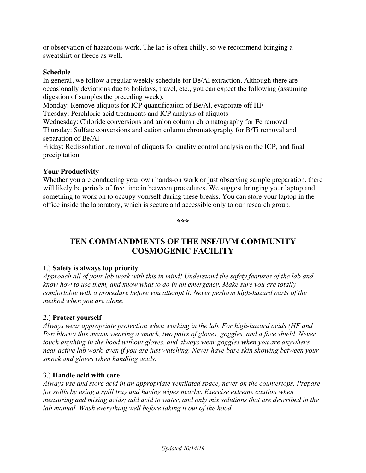or observation of hazardous work. The lab is often chilly, so we recommend bringing a sweatshirt or fleece as well.

#### **Schedule**

In general, we follow a regular weekly schedule for Be/Al extraction. Although there are occasionally deviations due to holidays, travel, etc., you can expect the following (assuming digestion of samples the preceding week):

Monday: Remove aliquots for ICP quantification of Be/Al, evaporate off HF

Tuesday: Perchloric acid treatments and ICP analysis of aliquots

Wednesday: Chloride conversions and anion column chromatography for Fe removal Thursday: Sulfate conversions and cation column chromatography for B/Ti removal and separation of Be/Al

Friday: Redissolution, removal of aliquots for quality control analysis on the ICP, and final precipitation

## **Your Productivity**

Whether you are conducting your own hands-on work or just observing sample preparation, there will likely be periods of free time in between procedures. We suggest bringing your laptop and something to work on to occupy yourself during these breaks. You can store your laptop in the office inside the laboratory, which is secure and accessible only to our research group.

**\*\*\***

# **TEN COMMANDMENTS OF THE NSF/UVM COMMUNITY COSMOGENIC FACILITY**

## 1.) **Safety is always top priority**

*Approach all of your lab work with this in mind! Understand the safety features of the lab and know how to use them, and know what to do in an emergency. Make sure you are totally comfortable with a procedure before you attempt it. Never perform high-hazard parts of the method when you are alone.*

## 2.) **Protect yourself**

*Always wear appropriate protection when working in the lab. For high-hazard acids (HF and Perchloric) this means wearing a smock, two pairs of gloves, goggles, and a face shield. Never touch anything in the hood without gloves, and always wear goggles when you are anywhere near active lab work, even if you are just watching. Never have bare skin showing between your smock and gloves when handling acids.*

## 3.) **Handle acid with care**

*Always use and store acid in an appropriate ventilated space, never on the countertops. Prepare for spills by using a spill tray and having wipes nearby. Exercise extreme caution when measuring and mixing acids; add acid to water, and only mix solutions that are described in the lab manual. Wash everything well before taking it out of the hood.*